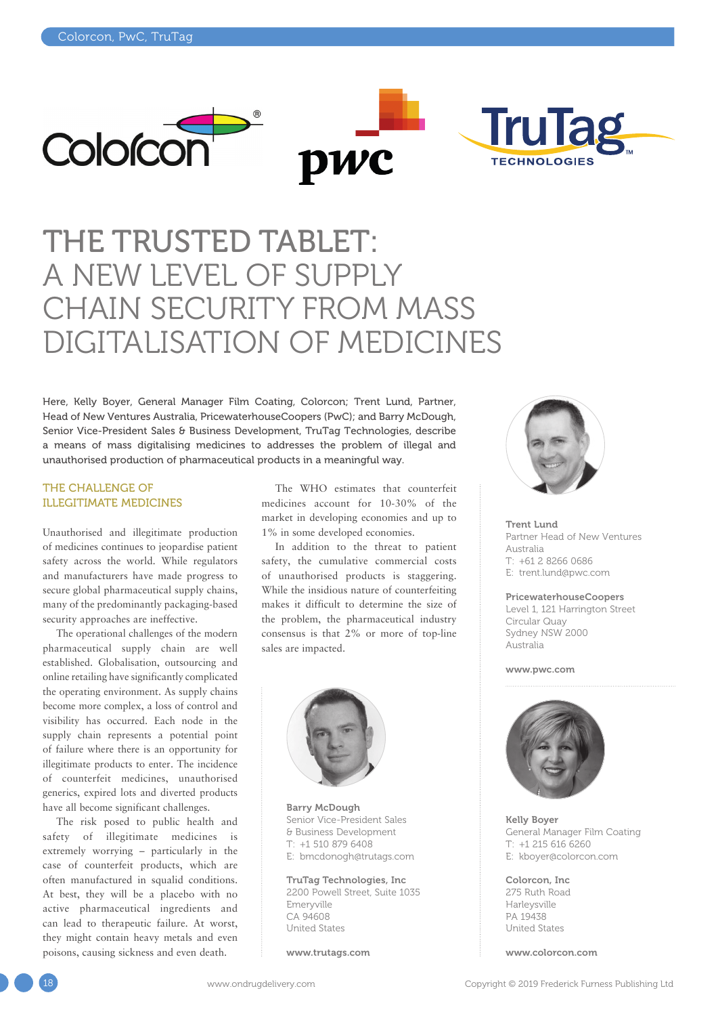





# THE TRUSTED TABLET: A NEW LEVEL OF SUPPLY CHAIN SECURITY FROM MASS DIGITALISATION OF MEDICINES

Here, Kelly Boyer, General Manager Film Coating, Colorcon; Trent Lund, Partner, Head of New Ventures Australia, PricewaterhouseCoopers (PwC); and Barry McDough, Senior Vice-President Sales & Business Development, TruTag Technologies, describe a means of mass digitalising medicines to addresses the problem of illegal and unauthorised production of pharmaceutical products in a meaningful way.

#### THE CHALLENGE OF ILLEGITIMATE MEDICINES

Unauthorised and illegitimate production of medicines continues to jeopardise patient safety across the world. While regulators and manufacturers have made progress to secure global pharmaceutical supply chains, many of the predominantly packaging-based security approaches are ineffective.

The operational challenges of the modern pharmaceutical supply chain are well established. Globalisation, outsourcing and online retailing have significantly complicated the operating environment. As supply chains become more complex, a loss of control and visibility has occurred. Each node in the supply chain represents a potential point of failure where there is an opportunity for illegitimate products to enter. The incidence of counterfeit medicines, unauthorised generics, expired lots and diverted products have all become significant challenges.

The risk posed to public health and safety of illegitimate medicines is extremely worrying – particularly in the case of counterfeit products, which are often manufactured in squalid conditions. At best, they will be a placebo with no active pharmaceutical ingredients and can lead to therapeutic failure. At worst, they might contain heavy metals and even poisons, causing sickness and even death.

The WHO estimates that counterfeit medicines account for 10-30% of the market in developing economies and up to 1% in some developed economies.

In addition to the threat to patient safety, the cumulative commercial costs of unauthorised products is staggering. While the insidious nature of counterfeiting makes it difficult to determine the size of the problem, the pharmaceutical industry consensus is that 2% or more of top-line sales are impacted.



Barry McDough Senior Vice-President Sales & Business Development T: +1 510 879 6408 E: [bmcdonogh@trutags.com](mailto:bmcdonogh@trutags.com)

TruTag Technologies, Inc 2200 Powell Street, Suite 1035 Emeryville CA 94608 United States

[www.trutags.com](http://www.trutags.com)



Trent Lund Partner Head of New Ventures Australia T: +61 2 8266 0686 E: [trent.lund@pwc.com](mailto:trent.lund@pwc.com)

#### PricewaterhouseCoopers

Level 1, 121 Harrington Street Circular Quay Sydney NSW 2000 Australia

[www.pwc.com](http://www.pwc.com)



Kelly Boyer General Manager Film Coating T: +1 215 616 6260 E: [kboyer@colorcon.com](mailto:kboyer@colorcon.com)

Colorcon, Inc 275 Ruth Road Harleysville PA 19438 United States

[www.colorcon.com](http://www.colorcon.com)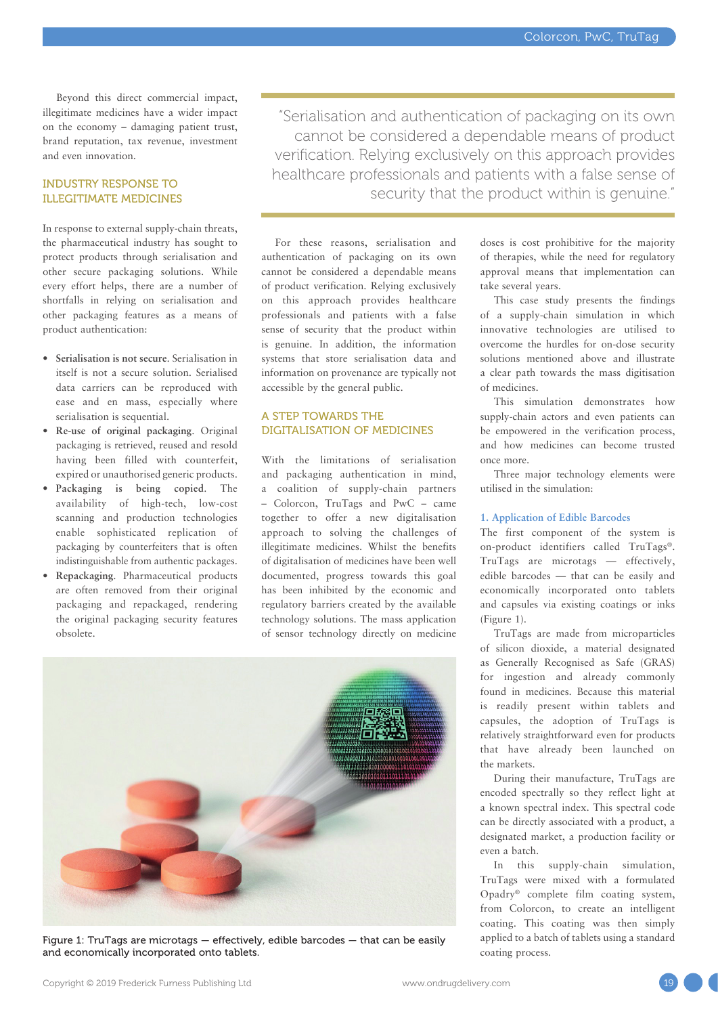Beyond this direct commercial impact, illegitimate medicines have a wider impact on the economy – damaging patient trust, brand reputation, tax revenue, investment and even innovation.

#### INDUSTRY RESPONSE TO ILLEGITIMATE MEDICINES

In response to external supply-chain threats, the pharmaceutical industry has sought to protect products through serialisation and other secure packaging solutions. While every effort helps, there are a number of shortfalls in relying on serialisation and other packaging features as a means of product authentication:

- **Serialisation is not secure**. Serialisation in itself is not a secure solution. Serialised data carriers can be reproduced with ease and en mass, especially where serialisation is sequential.
- **Re-use of original packaging**. Original packaging is retrieved, reused and resold having been filled with counterfeit, expired or unauthorised generic products.
- **Packaging is being copied**. The availability of high-tech, low-cost scanning and production technologies enable sophisticated replication of packaging by counterfeiters that is often indistinguishable from authentic packages.
- **Repackaging**. Pharmaceutical products are often removed from their original packaging and repackaged, rendering the original packaging security features obsolete.

"Serialisation and authentication of packaging on its own cannot be considered a dependable means of product verification. Relying exclusively on this approach provides healthcare professionals and patients with a false sense of security that the product within is genuine."

For these reasons, serialisation and authentication of packaging on its own cannot be considered a dependable means of product verification. Relying exclusively on this approach provides healthcare professionals and patients with a false sense of security that the product within is genuine. In addition, the information systems that store serialisation data and information on provenance are typically not accessible by the general public.

#### A STEP TOWARDS THE DIGITALISATION OF MEDICINES

With the limitations of serialisation and packaging authentication in mind, a coalition of supply-chain partners – Colorcon, TruTags and PwC – came together to offer a new digitalisation approach to solving the challenges of illegitimate medicines. Whilst the benefits of digitalisation of medicines have been well documented, progress towards this goal has been inhibited by the economic and regulatory barriers created by the available technology solutions. The mass application of sensor technology directly on medicine



Figure 1: TruTags are microtags — effectively, edible barcodes — that can be easily and economically incorporated onto tablets.

doses is cost prohibitive for the majority of therapies, while the need for regulatory approval means that implementation can take several years.

This case study presents the findings of a supply-chain simulation in which innovative technologies are utilised to overcome the hurdles for on-dose security solutions mentioned above and illustrate a clear path towards the mass digitisation of medicines.

This simulation demonstrates how supply-chain actors and even patients can be empowered in the verification process, and how medicines can become trusted once more.

Three major technology elements were utilised in the simulation:

#### **1. Application of Edible Barcodes**

The first component of the system is on-product identifiers called TruTags®. TruTags are microtags — effectively, edible barcodes — that can be easily and economically incorporated onto tablets and capsules via existing coatings or inks (Figure 1).

TruTags are made from microparticles of silicon dioxide, a material designated as Generally Recognised as Safe (GRAS) for ingestion and already commonly found in medicines. Because this material is readily present within tablets and capsules, the adoption of TruTags is relatively straightforward even for products that have already been launched on the markets.

During their manufacture, TruTags are encoded spectrally so they reflect light at a known spectral index. This spectral code can be directly associated with a product, a designated market, a production facility or even a batch.

In this supply-chain simulation, TruTags were mixed with a formulated Opadry® complete film coating system, from Colorcon, to create an intelligent coating. This coating was then simply applied to a batch of tablets using a standard coating process.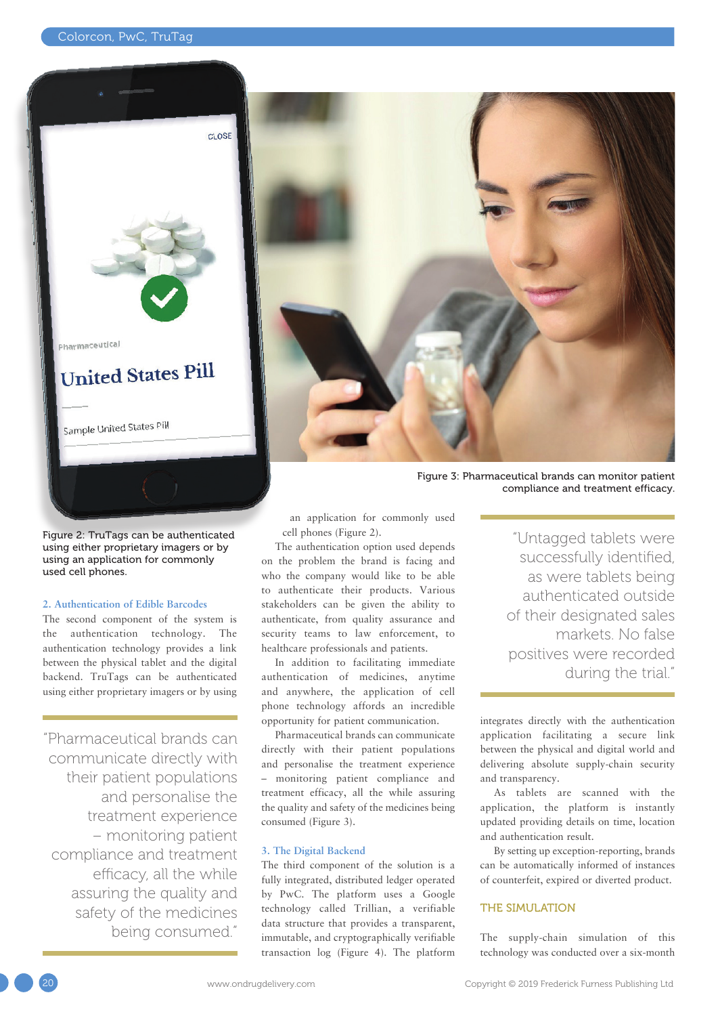

Figure 2: TruTags can be authenticated using either proprietary imagers or by using an application for commonly used cell phones.

#### **2. Authentication of Edible Barcodes**

The second component of the system is the authentication technology. The authentication technology provides a link between the physical tablet and the digital backend. TruTags can be authenticated using either proprietary imagers or by using

"Pharmaceutical brands can communicate directly with their patient populations and personalise the treatment experience – monitoring patient compliance and treatment efficacy, all the while assuring the quality and safety of the medicines being consumed."



Figure 3: Pharmaceutical brands can monitor patient compliance and treatment efficacy.

an application for commonly used cell phones (Figure 2).

The authentication option used depends on the problem the brand is facing and who the company would like to be able to authenticate their products. Various stakeholders can be given the ability to authenticate, from quality assurance and security teams to law enforcement, to healthcare professionals and patients.

In addition to facilitating immediate authentication of medicines, anytime and anywhere, the application of cell phone technology affords an incredible opportunity for patient communication.

Pharmaceutical brands can communicate directly with their patient populations and personalise the treatment experience – monitoring patient compliance and treatment efficacy, all the while assuring the quality and safety of the medicines being consumed (Figure 3).

#### **3. The Digital Backend**

The third component of the solution is a fully integrated, distributed ledger operated by PwC. The platform uses a Google technology called Trillian, a verifiable data structure that provides a transparent, immutable, and cryptographically verifiable transaction log (Figure 4). The platform

"Untagged tablets were successfully identified, as were tablets being authenticated outside of their designated sales markets. No false positives were recorded during the trial."

integrates directly with the authentication application facilitating a secure link between the physical and digital world and delivering absolute supply-chain security and transparency.

As tablets are scanned with the application, the platform is instantly updated providing details on time, location and authentication result.

By setting up exception-reporting, brands can be automatically informed of instances of counterfeit, expired or diverted product.

### THE SIMULATION

The supply-chain simulation of this technology was conducted over a six-month